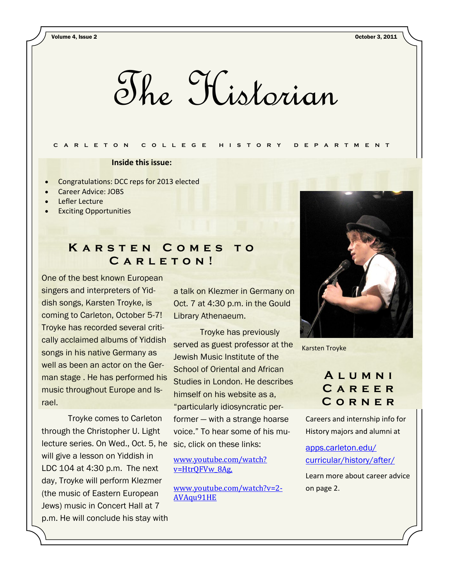Volume 4, Issue 2 October 3, 2011

The Historian

#### **C A R L E T O N C O L L E G E H I S T O R Y D E P A R T M E N T**

#### **Inside this issue:**

- Congratulations: DCC reps for 2013 elected
- Career Advice: JOBS
- Lefler Lecture
- Exciting Opportunities

# **K a r s t e n C o m e s t o C a r l e t o n !**

One of the best known European singers and interpreters of Yiddish songs, Karsten Troyke, is coming to Carleton, October 5-7! Troyke has recorded several critically acclaimed albums of Yiddish songs in his native Germany as well as been an actor on the German stage . He has performed his music throughout Europe and Israel.

 Troyke comes to Carleton through the Christopher U. Light lecture series. On Wed., Oct. 5, he sic, click on these links: will give a lesson on Yiddish in LDC 104 at 4:30 p.m. The next day, Troyke will perform Klezmer (the music of Eastern European Jews) music in Concert Hall at 7 p.m. He will conclude his stay with

a talk on Klezmer in Germany on Oct. 7 at 4:30 p.m. in the Gould Library Athenaeum.

 Troyke has previously served as guest professor at the Jewish Music Institute of the School of Oriental and African Studies in London. He describes himself on his website as a, "particularly idiosyncratic performer — with a strange hoarse voice." To hear some of his mu-

[www.youtube.com/watch?](http://www.youtube.com/watch?v=HtrQFVw_8Ag,) [v=HtrQFVw\\_8Ag,](http://www.youtube.com/watch?v=HtrQFVw_8Ag,)

[www.youtube.com/watch?v=2‐](http://www.youtube.com/watch?v=2‐AVAqu91HE) [AVAqu91HE](http://www.youtube.com/watch?v=2‐AVAqu91HE)



Karsten Troyke

# **A l u m n i C a r e e r C o r n e r**

Careers and internship info for History majors and alumni at

[apps.carleton.edu/](https://apps.carleton.edu/curricular/history/after/) [curricular/history/after/](https://apps.carleton.edu/curricular/history/after/)

Learn more about career advice on page 2.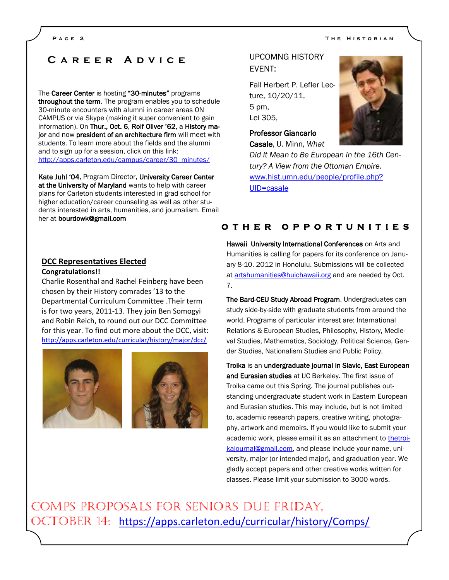#### <span id="page-1-0"></span>**PAGE 2** THE HISTORIAN

## **C a r e e r A d v i c e**

The Career Center is hosting "30-minutes" programs throughout the term. The program enables you to schedule 30-minute encounters with alumni in career areas ON CAMPUS or via Skype (making it super convenient to gain information). On Thur., Oct. 6, Rolf Oliver "62, a History major and now president of an architecture firm will meet with students. To learn more about the fields and the alumni and to sign up for a session, click on this link: [http://apps.carleton.edu/campus/career/30\\_minutes/](http://apps.carleton.edu/campus/career/30_minutes/) 

Kate Juhl '04, Program Director, University Career Center at the University of Maryland wants to help with career plans for Carleton students interested in grad school for higher education/career counseling as well as other students interested in arts, humanities, and journalism. Email her at bourdowk@gmail.com

#### **DCC Representatives Elected Congratulations!!**

Charlie Rosenthal and Rachel Feinberg have been chosen by their History comrades '13 to the Departmental Curriculum Committee .Their term is for two years, 2011-13. They join Ben Somogyi and Robin Reich, to round out our DCC Committee for this year. To find out more about the DCC, visit: [http://apps.carleton.edu/curricular/history/major/dcc/](#page-1-0)





### UPCOMNG HISTORY EVENT:

Fall Herbert P. Lefler Lecture, 10/20/11, 5 pm, Lei 305,

Professor Giancarlo Casale, U. Minn, *What* 



*Did It Mean to Be European in the 16th Century? A View from the Ottoman Empire.*  [www.hist.umn.edu/people/profile.php?](http://www.hist.umn.edu/people/profile.php?UID=casale) [UID=casale](http://www.hist.umn.edu/people/profile.php?UID=casale)

### **O T H E R O P P O R T U N I T I E S**

Hawaii University International Conferences on Arts and Humanities is calling for papers for its conference on January 8-10. 2012 in Honolulu. Submissions will be collected at [artshumanities@huichawaii.org](mailto:artshumanities@huichawaii.org) and are needed by Oct. 7.

The Bard-CEU Study Abroad Program. Undergraduates can study side-by-side with graduate students from around the world. Programs of particular interest are: International Relations & European Studies, Philosophy, History, Medieval Studies, Mathematics, Sociology, Political Science, Gender Studies, Nationalism Studies and Public Policy.

Troika is an undergraduate journal in Slavic, East European and Eurasian studies at UC Berkeley. The first issue of Troika came out this Spring. The journal publishes outstanding undergraduate student work in Eastern European and Eurasian studies. This may include, but is not limited to, academic research papers, creative writing, photography, artwork and memoirs. If you would like to submit your academic work, please email it as an attachment to [thetroi](mailto:thetroikajournal@gmail.com)[kajournal@gmail.com,](mailto:thetroikajournal@gmail.com) and please include your name, university, major (or intended major), and graduation year. We gladly accept papers and other creative works written for classes. Please limit your submission to 3000 words.

Comps Proposals for Seniors due Friday, OCTOBER 14: <https://apps.carleton.edu/curricular/history/Comps/>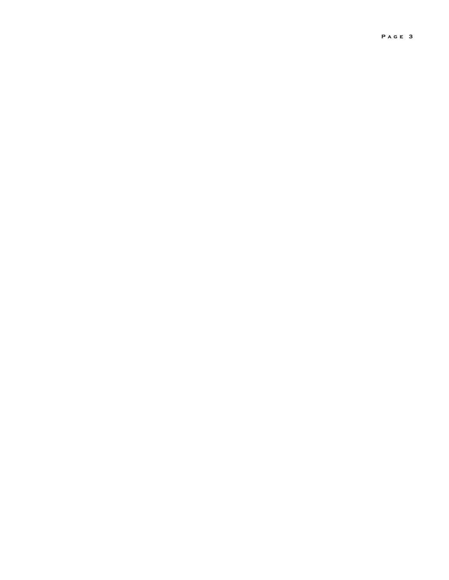PAGE 3